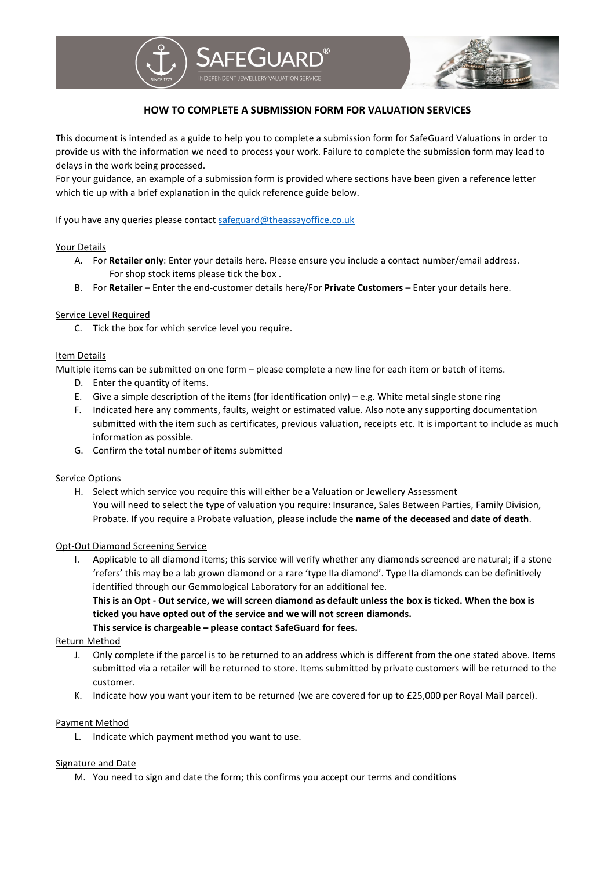

## **HOW TO COMPLETE A SUBMISSION FORM FOR VALUATION SERVICES**

This document is intended as a guide to help you to complete a submission form for SafeGuard Valuations in order to provide us with the information we need to process your work. Failure to complete the submission form may lead to delays in the work being processed.

For your guidance, an example of a submission form is provided where sections have been given a reference letter which tie up with a brief explanation in the quick reference guide below.

If you have any queries please contac[t safeguard@theassayoffice.co.uk](mailto:safeguard@theassayoffice.co.uk)

### Your Details

- A. For **Retailer only**: Enter your details here. Please ensure you include a contact number/email address. For shop stock items please tick the box .
- B. For **Retailer** Enter the end-customer details here/For **Private Customers** Enter your details here.

#### Service Level Required

C. Tick the box for which service level you require.

#### Item Details

Multiple items can be submitted on one form – please complete a new line for each item or batch of items.

- D. Enter the quantity of items.
- E. Give a simple description of the items (for identification only) e.g. White metal single stone ring
- F. Indicated here any comments, faults, weight or estimated value. Also note any supporting documentation submitted with the item such as certificates, previous valuation, receipts etc. It is important to include as much information as possible.
- G. Confirm the total number of items submitted

#### Service Options

H. Select which service you require this will either be a Valuation or Jewellery Assessment You will need to select the type of valuation you require: Insurance, Sales Between Parties, Family Division, Probate. If you require a Probate valuation, please include the **name of the deceased** and **date of death**.

#### Opt-Out Diamond Screening Service

I. Applicable to all diamond items; this service will verify whether any diamonds screened are natural; if a stone 'refers' this may be a lab grown diamond or a rare 'type IIa diamond'. Type IIa diamonds can be definitively identified through our Gemmological Laboratory for an additional fee.

**This is an Opt - Out service, we will screen diamond as default unless the box is ticked. When the box is ticked you have opted out of the service and we will not screen diamonds. This service is chargeable – please contact SafeGuard for fees.** 

#### Return Method

- J. Only complete if the parcel is to be returned to an address which is different from the one stated above. Items submitted via a retailer will be returned to store. Items submitted by private customers will be returned to the customer.
- K. Indicate how you want your item to be returned (we are covered for up to £25,000 per Royal Mail parcel).

#### Payment Method

L. Indicate which payment method you want to use.

#### Signature and Date

M. You need to sign and date the form; this confirms you accept our terms and conditions